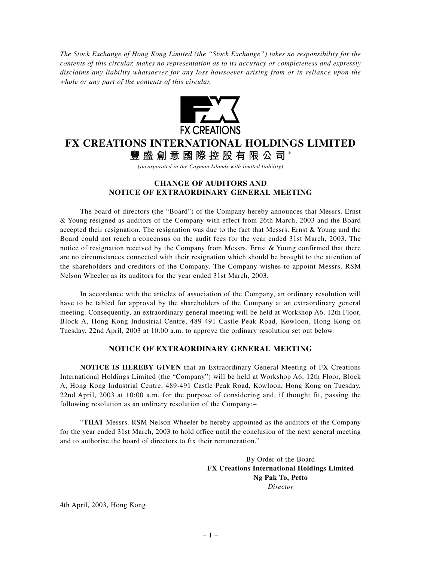*The Stock Exchange of Hong Kong Limited (the "Stock Exchange") takes no responsibility for the contents of this circular, makes no representation as to its accuracy or completeness and expressly disclaims any liability whatsoever for any loss howsoever arising from or in reliance upon the whole or any part of the contents of this circular.*



## **FX CREATIONS INTERNATIONAL HOLDINGS LIMITED**

**豐盛創意國際控股有限公司** \*

*(incorporated in the Cayman Islands with limited liability)*

## **CHANGE OF AUDITORS AND NOTICE OF EXTRAORDINARY GENERAL MEETING**

The board of directors (the "Board") of the Company hereby announces that Messrs. Ernst & Young resigned as auditors of the Company with effect from 26th March, 2003 and the Board accepted their resignation. The resignation was due to the fact that Messrs. Ernst & Young and the Board could not reach a concensus on the audit fees for the year ended 31st March, 2003. The notice of resignation received by the Company from Messrs. Ernst  $&$  Young confirmed that there are no circumstances connected with their resignation which should be brought to the attention of the shareholders and creditors of the Company. The Company wishes to appoint Messrs. RSM Nelson Wheeler as its auditors for the year ended 31st March, 2003.

In accordance with the articles of association of the Company, an ordinary resolution will have to be tabled for approval by the shareholders of the Company at an extraordinary general meeting. Consequently, an extraordinary general meeting will be held at Workshop A6, 12th Floor, Block A, Hong Kong Industrial Centre, 489-491 Castle Peak Road, Kowloon, Hong Kong on Tuesday, 22nd April, 2003 at 10:00 a.m. to approve the ordinary resolution set out below.

## **NOTICE OF EXTRAORDINARY GENERAL MEETING**

**NOTICE IS HEREBY GIVEN** that an Extraordinary General Meeting of FX Creations International Holdings Limited (the "Company") will be held at Workshop A6, 12th Floor, Block A, Hong Kong Industrial Centre, 489-491 Castle Peak Road, Kowloon, Hong Kong on Tuesday, 22nd April, 2003 at 10:00 a.m. for the purpose of considering and, if thought fit, passing the following resolution as an ordinary resolution of the Company:–

"**THAT** Messrs. RSM Nelson Wheeler be hereby appointed as the auditors of the Company for the year ended 31st March, 2003 to hold office until the conclusion of the next general meeting and to authorise the board of directors to fix their remuneration."

> By Order of the Board **FX Creations International Holdings Limited Ng Pak To, Petto** *Director*

4th April, 2003, Hong Kong